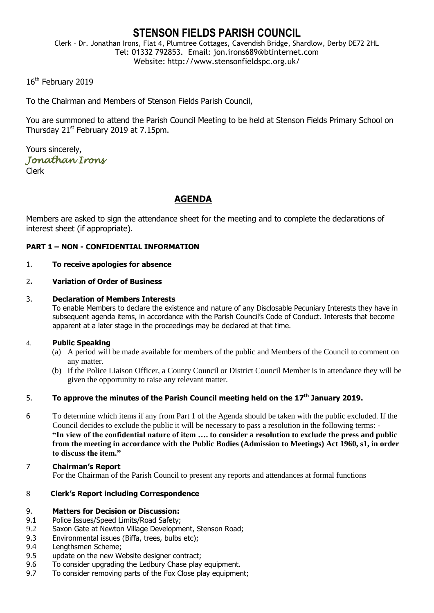# **STENSON FIELDS PARISH COUNCIL**

Clerk – Dr. Jonathan Irons, Flat 4, Plumtree Cottages, Cavendish Bridge, Shardlow, Derby DE72 2HL Tel: 01332 792853. Email: jon.irons689@btinternet.com Website: http://www.stensonfieldspc.org.uk/

16<sup>th</sup> February 2019

To the Chairman and Members of Stenson Fields Parish Council,

You are summoned to attend the Parish Council Meeting to be held at Stenson Fields Primary School on Thursday  $21<sup>st</sup>$  February 2019 at 7.15pm.

Yours sincerely, *Jonathan Irons* 

Clerk

# **AGENDA**

Members are asked to sign the attendance sheet for the meeting and to complete the declarations of interest sheet (if appropriate).

## **PART 1 – NON - CONFIDENTIAL INFORMATION**

## 1. **To receive apologies for absence**

## 2**. Variation of Order of Business**

## 3. **Declaration of Members Interests**

To enable Members to declare the existence and nature of any Disclosable Pecuniary Interests they have in subsequent agenda items, in accordance with the Parish Council's Code of Conduct. Interests that become apparent at a later stage in the proceedings may be declared at that time.

## 4. **Public Speaking**

- (a) A period will be made available for members of the public and Members of the Council to comment on any matter.
- (b) If the Police Liaison Officer, a County Council or District Council Member is in attendance they will be given the opportunity to raise any relevant matter.

## 5. **To approve the minutes of the Parish Council meeting held on the 17th January 2019.**

- 6 To determine which items if any from Part 1 of the Agenda should be taken with the public excluded. If the Council decides to exclude the public it will be necessary to pass a resolution in the following terms: - **"In view of the confidential nature of item …. to consider a resolution to exclude the press and public from the meeting in accordance with the Public Bodies (Admission to Meetings) Act 1960, s1, in order to discuss the item."**
- 7 **Chairman's Report** For the Chairman of the Parish Council to present any reports and attendances at formal functions

## 8 **Clerk's Report including Correspondence**

## 9. **Matters for Decision or Discussion:**

- 9.1 Police Issues/Speed Limits/Road Safety;
- 9.2 Saxon Gate at Newton Village Development, Stenson Road;
- 9.3 Environmental issues (Biffa, trees, bulbs etc);
- 9.4 Lengthsmen Scheme;
- 9.5 update on the new Website designer contract;
- 9.6 To consider upgrading the Ledbury Chase play equipment.
- 9.7 To consider removing parts of the Fox Close play equipment;